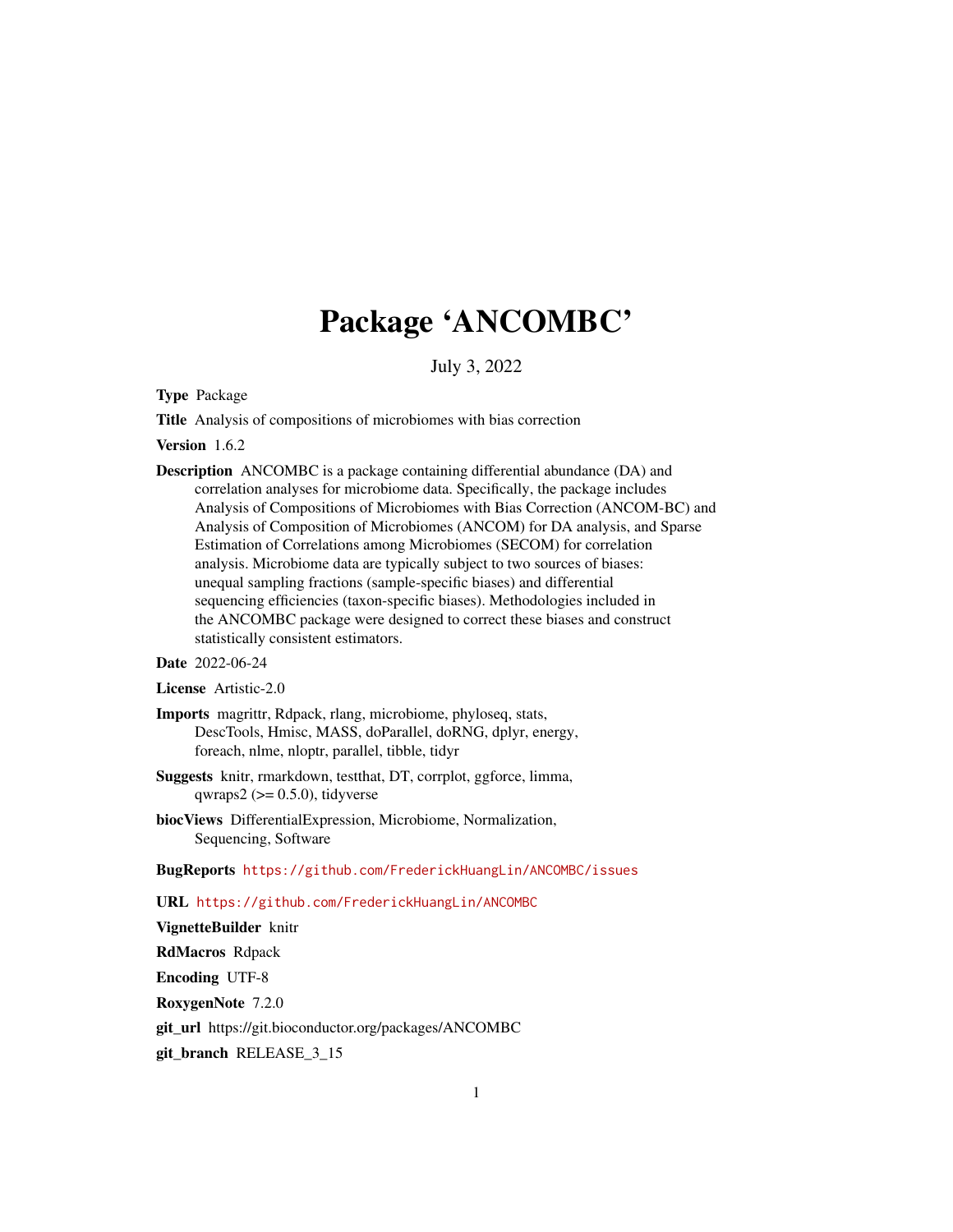# Package 'ANCOMBC'

July 3, 2022

Type Package

Title Analysis of compositions of microbiomes with bias correction

Version 1.6.2

Description ANCOMBC is a package containing differential abundance (DA) and correlation analyses for microbiome data. Specifically, the package includes Analysis of Compositions of Microbiomes with Bias Correction (ANCOM-BC) and Analysis of Composition of Microbiomes (ANCOM) for DA analysis, and Sparse Estimation of Correlations among Microbiomes (SECOM) for correlation analysis. Microbiome data are typically subject to two sources of biases: unequal sampling fractions (sample-specific biases) and differential sequencing efficiencies (taxon-specific biases). Methodologies included in the ANCOMBC package were designed to correct these biases and construct statistically consistent estimators.

Date 2022-06-24

License Artistic-2.0

- Imports magrittr, Rdpack, rlang, microbiome, phyloseq, stats, DescTools, Hmisc, MASS, doParallel, doRNG, dplyr, energy, foreach, nlme, nloptr, parallel, tibble, tidyr
- Suggests knitr, rmarkdown, testthat, DT, corrplot, ggforce, limma, qwraps $2 \left( \right) = 0.5.0$ , tidyverse
- biocViews DifferentialExpression, Microbiome, Normalization, Sequencing, Software

BugReports <https://github.com/FrederickHuangLin/ANCOMBC/issues>

URL <https://github.com/FrederickHuangLin/ANCOMBC>

VignetteBuilder knitr

RdMacros Rdpack

Encoding UTF-8

RoxygenNote 7.2.0

git\_url https://git.bioconductor.org/packages/ANCOMBC

git\_branch RELEASE\_3\_15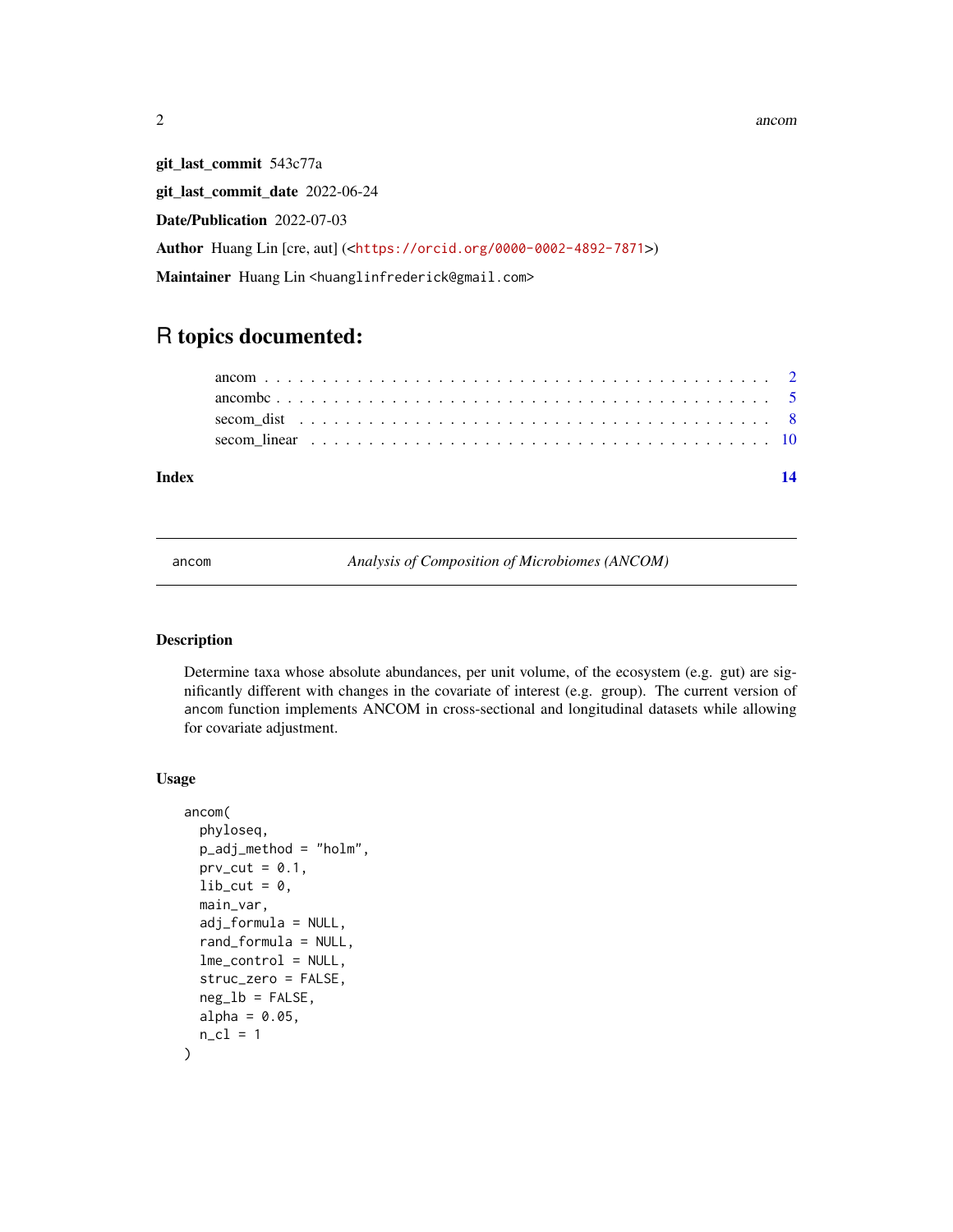2 ancometer and the set of the set of the set of the set of the set of the set of the set of the set of the set of the set of the set of the set of the set of the set of the set of the set of the set of the set of the set

git\_last\_commit 543c77a git\_last\_commit\_date 2022-06-24 Date/Publication 2022-07-03 Author Huang Lin [cre, aut] (<<https://orcid.org/0000-0002-4892-7871>>) Maintainer Huang Lin <huanglinfrederick@gmail.com>

## R topics documented:

| Index |  |  |  |  |  |  |  |  |  |  |  |  |  |  |  |  |  |  |
|-------|--|--|--|--|--|--|--|--|--|--|--|--|--|--|--|--|--|--|
|       |  |  |  |  |  |  |  |  |  |  |  |  |  |  |  |  |  |  |
|       |  |  |  |  |  |  |  |  |  |  |  |  |  |  |  |  |  |  |
|       |  |  |  |  |  |  |  |  |  |  |  |  |  |  |  |  |  |  |
|       |  |  |  |  |  |  |  |  |  |  |  |  |  |  |  |  |  |  |

<span id="page-1-1"></span>ancom *Analysis of Composition of Microbiomes (ANCOM)*

#### Description

Determine taxa whose absolute abundances, per unit volume, of the ecosystem (e.g. gut) are significantly different with changes in the covariate of interest (e.g. group). The current version of ancom function implements ANCOM in cross-sectional and longitudinal datasets while allowing for covariate adjustment.

#### Usage

```
ancom(
 phyloseq,
 p_adj_method = "holm",
 prv_cut = 0.1,
  lib-cut = 0,
 main_var,
  adj_formula = NULL,
  rand_formula = NULL,
  lme_control = NULL,
  struc_zero = FALSE,
  neg\_lb = FALSE,alpha = 0.05,
 n_cl = 1)
```
<span id="page-1-0"></span>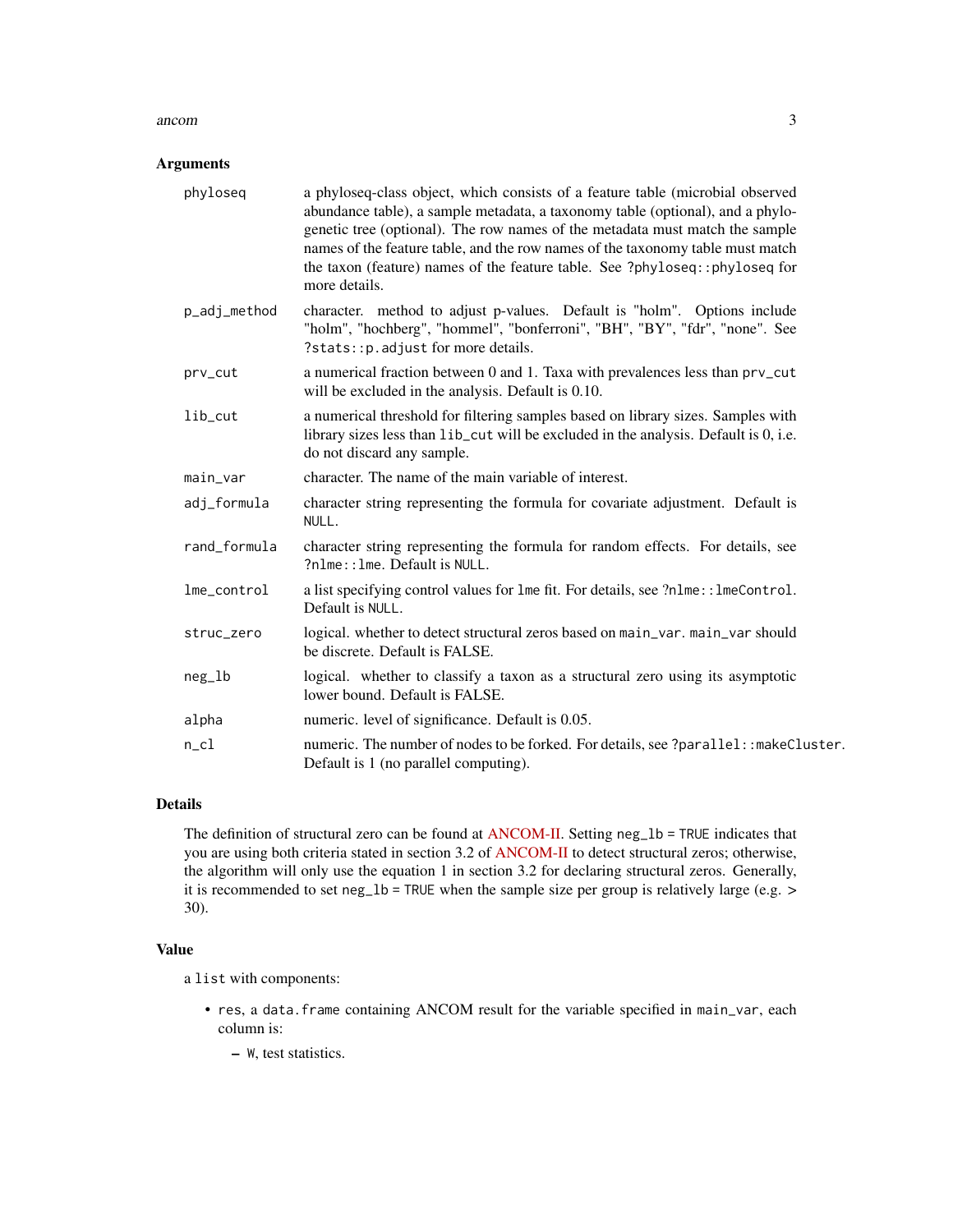#### ancom 3

#### Arguments

| phyloseq     | a phyloseq-class object, which consists of a feature table (microbial observed<br>abundance table), a sample metadata, a taxonomy table (optional), and a phylo-<br>genetic tree (optional). The row names of the metadata must match the sample<br>names of the feature table, and the row names of the taxonomy table must match<br>the taxon (feature) names of the feature table. See ?phyloseq::phyloseq for<br>more details. |
|--------------|------------------------------------------------------------------------------------------------------------------------------------------------------------------------------------------------------------------------------------------------------------------------------------------------------------------------------------------------------------------------------------------------------------------------------------|
| p_adj_method | character. method to adjust p-values. Default is "holm". Options include<br>"holm", "hochberg", "hommel", "bonferroni", "BH", "BY", "fdr", "none". See<br>?stats:: p. adjust for more details.                                                                                                                                                                                                                                     |
| prv_cut      | a numerical fraction between 0 and 1. Taxa with prevalences less than prv_cut<br>will be excluded in the analysis. Default is 0.10.                                                                                                                                                                                                                                                                                                |
| $lib-cut$    | a numerical threshold for filtering samples based on library sizes. Samples with<br>library sizes less than lib_cut will be excluded in the analysis. Default is 0, i.e.<br>do not discard any sample.                                                                                                                                                                                                                             |
| main_var     | character. The name of the main variable of interest.                                                                                                                                                                                                                                                                                                                                                                              |
| adj_formula  | character string representing the formula for covariate adjustment. Default is<br>NULL.                                                                                                                                                                                                                                                                                                                                            |
| rand_formula | character string representing the formula for random effects. For details, see<br>?nlme:: lme. Default is NULL.                                                                                                                                                                                                                                                                                                                    |
| lme_control  | a list specifying control values for lme fit. For details, see ?nlme:: lmeControl.<br>Default is NULL.                                                                                                                                                                                                                                                                                                                             |
| struc_zero   | logical. whether to detect structural zeros based on main_var. main_var should<br>be discrete. Default is FALSE.                                                                                                                                                                                                                                                                                                                   |
| $neg_l$      | logical. whether to classify a taxon as a structural zero using its asymptotic<br>lower bound. Default is FALSE.                                                                                                                                                                                                                                                                                                                   |
| alpha        | numeric. level of significance. Default is 0.05.                                                                                                                                                                                                                                                                                                                                                                                   |
| $n$ _ $c1$   | numeric. The number of nodes to be forked. For details, see ?parallel: : makeCluster.<br>Default is 1 (no parallel computing).                                                                                                                                                                                                                                                                                                     |

### Details

The definition of structural zero can be found at [ANCOM-II.](https://doi.org/10.3389/fmicb.2017.02114) Setting neg\_1b = TRUE indicates that you are using both criteria stated in section 3.2 of [ANCOM-II](https://doi.org/10.3389/fmicb.2017.02114) to detect structural zeros; otherwise, the algorithm will only use the equation 1 in section 3.2 for declaring structural zeros. Generally, it is recommended to set neg\_lb = TRUE when the sample size per group is relatively large (e.g. > 30).

#### Value

a list with components:

- res, a data.frame containing ANCOM result for the variable specified in main\_var, each column is:
	- W, test statistics.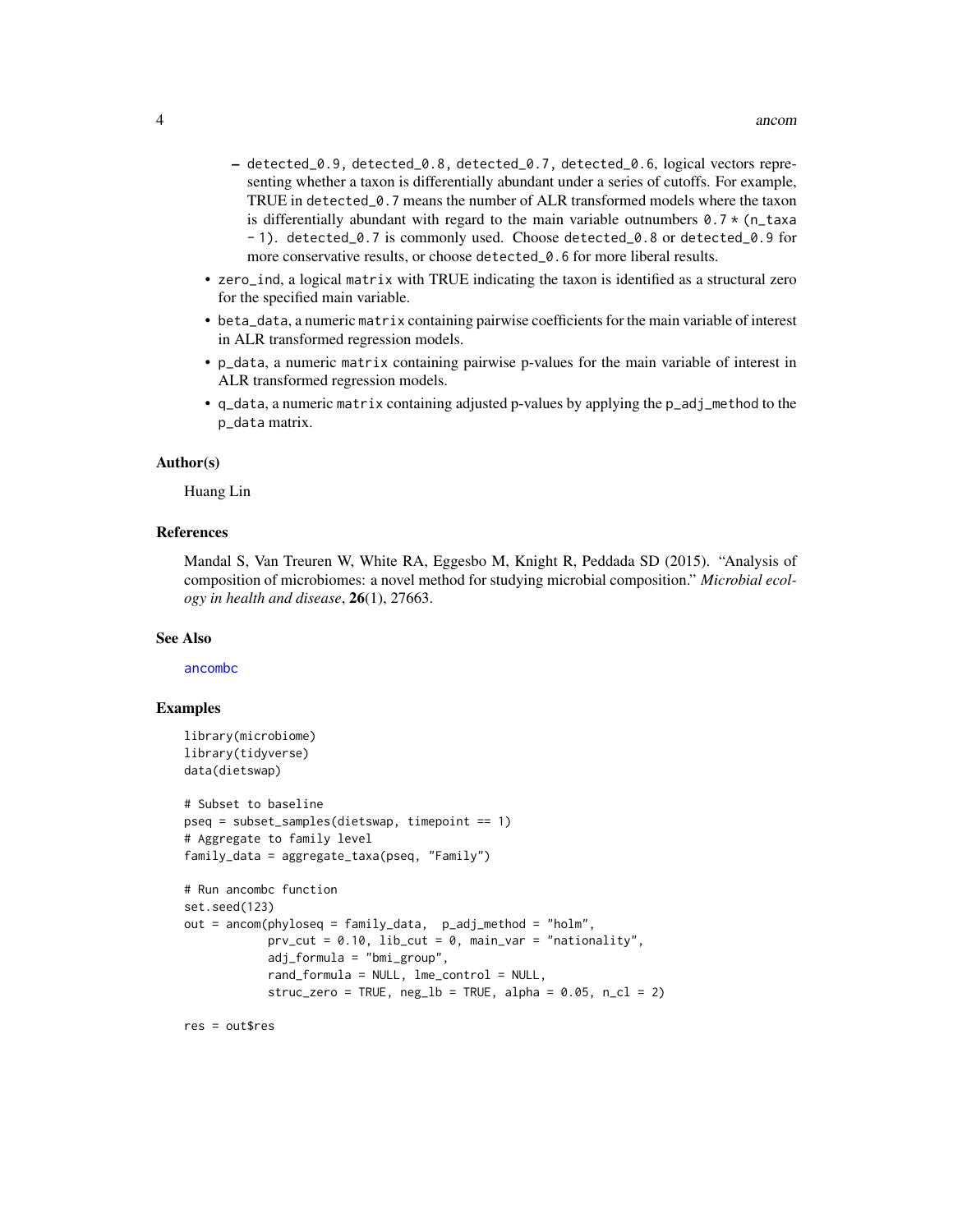- <span id="page-3-0"></span>– detected\_0.9, detected\_0.8, detected\_0.7, detected\_0.6, logical vectors representing whether a taxon is differentially abundant under a series of cutoffs. For example, TRUE in detected\_0.7 means the number of ALR transformed models where the taxon is differentially abundant with regard to the main variable outnumbers  $0.7 \times (n_{\text{t}})$  taxa - 1). detected\_0.7 is commonly used. Choose detected\_0.8 or detected\_0.9 for more conservative results, or choose detected\_0.6 for more liberal results.
- zero\_ind, a logical matrix with TRUE indicating the taxon is identified as a structural zero for the specified main variable.
- beta\_data, a numeric matrix containing pairwise coefficients for the main variable of interest in ALR transformed regression models.
- p\_data, a numeric matrix containing pairwise p-values for the main variable of interest in ALR transformed regression models.
- q\_data, a numeric matrix containing adjusted p-values by applying the p\_adj\_method to the p\_data matrix.

#### Author(s)

Huang Lin

#### References

Mandal S, Van Treuren W, White RA, Eggesbo M, Knight R, Peddada SD (2015). "Analysis of composition of microbiomes: a novel method for studying microbial composition." *Microbial ecology in health and disease*, 26(1), 27663.

#### See Also

[ancombc](#page-4-1)

#### Examples

```
library(microbiome)
library(tidyverse)
data(dietswap)
# Subset to baseline
pseq = subset_samples(dietswap, timepoint == 1)
# Aggregate to family level
family_data = aggregate_taxa(pseq, "Family")
# Run ancombc function
set.seed(123)
out = ancom(phyloseq = family_data, p_adj_method = "holm",
            prv_cut = 0.10, lib_cut = 0, main_var = "nationality",
            adj_formula = "bmi_group",
            rand_formula = NULL, lme_control = NULL,
            struc_zero = TRUE, neg\_lb = TRUE, alpha = 0.05, n_cl = 2)
```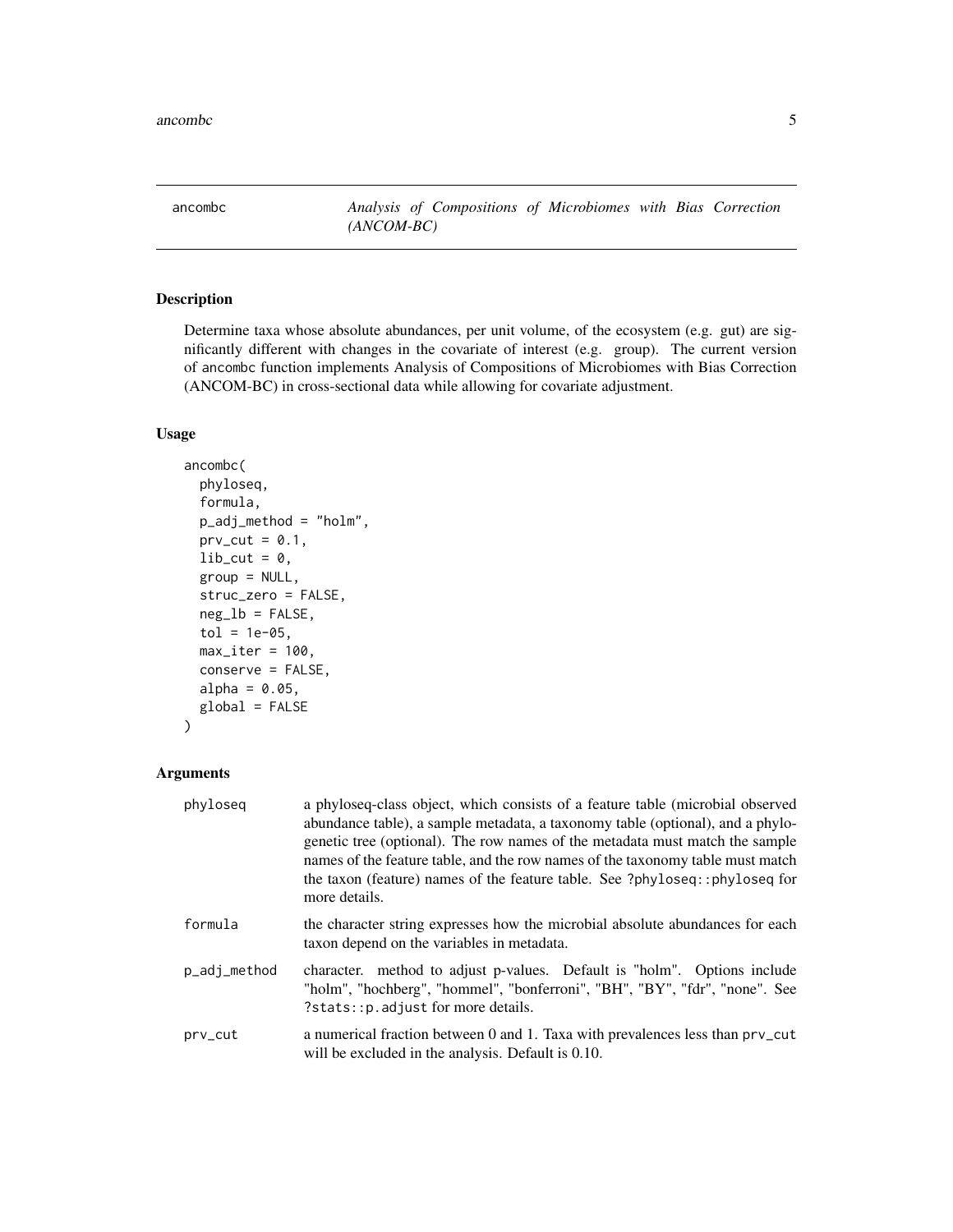<span id="page-4-1"></span><span id="page-4-0"></span>ancombc *Analysis of Compositions of Microbiomes with Bias Correction (ANCOM-BC)*

#### Description

Determine taxa whose absolute abundances, per unit volume, of the ecosystem (e.g. gut) are significantly different with changes in the covariate of interest (e.g. group). The current version of ancombc function implements Analysis of Compositions of Microbiomes with Bias Correction (ANCOM-BC) in cross-sectional data while allowing for covariate adjustment.

#### Usage

```
ancombc(
  phyloseq,
 formula,
 p_adj_method = "holm",
 prv_cut = 0.1,
  lib-cut = 0,
  group = NULL,struc_zero = FALSE,
 neg\_lb = FALSE,tol = 1e-05,max\_iter = 100,
  conserve = FALSE,
 alpha = 0.05,
 global = FALSE)
```
#### Arguments

| phyloseq     | a phyloseq-class object, which consists of a feature table (microbial observed<br>abundance table), a sample metadata, a taxonomy table (optional), and a phylo-<br>genetic tree (optional). The row names of the metadata must match the sample<br>names of the feature table, and the row names of the taxonomy table must match<br>the taxon (feature) names of the feature table. See ?phyloseq::phyloseq for<br>more details. |
|--------------|------------------------------------------------------------------------------------------------------------------------------------------------------------------------------------------------------------------------------------------------------------------------------------------------------------------------------------------------------------------------------------------------------------------------------------|
| formula      | the character string expresses how the microbial absolute abundances for each<br>taxon depend on the variables in metadata.                                                                                                                                                                                                                                                                                                        |
| p_adj_method | character. method to adjust p-values. Default is "holm". Options include<br>"holm", "hochberg", "hommel", "bonferroni", "BH", "BY", "fdr", "none". See<br>?stats:: p. adjust for more details.                                                                                                                                                                                                                                     |
| prv_cut      | a numerical fraction between 0 and 1. Taxa with prevalences less than prv_cut<br>will be excluded in the analysis. Default is 0.10.                                                                                                                                                                                                                                                                                                |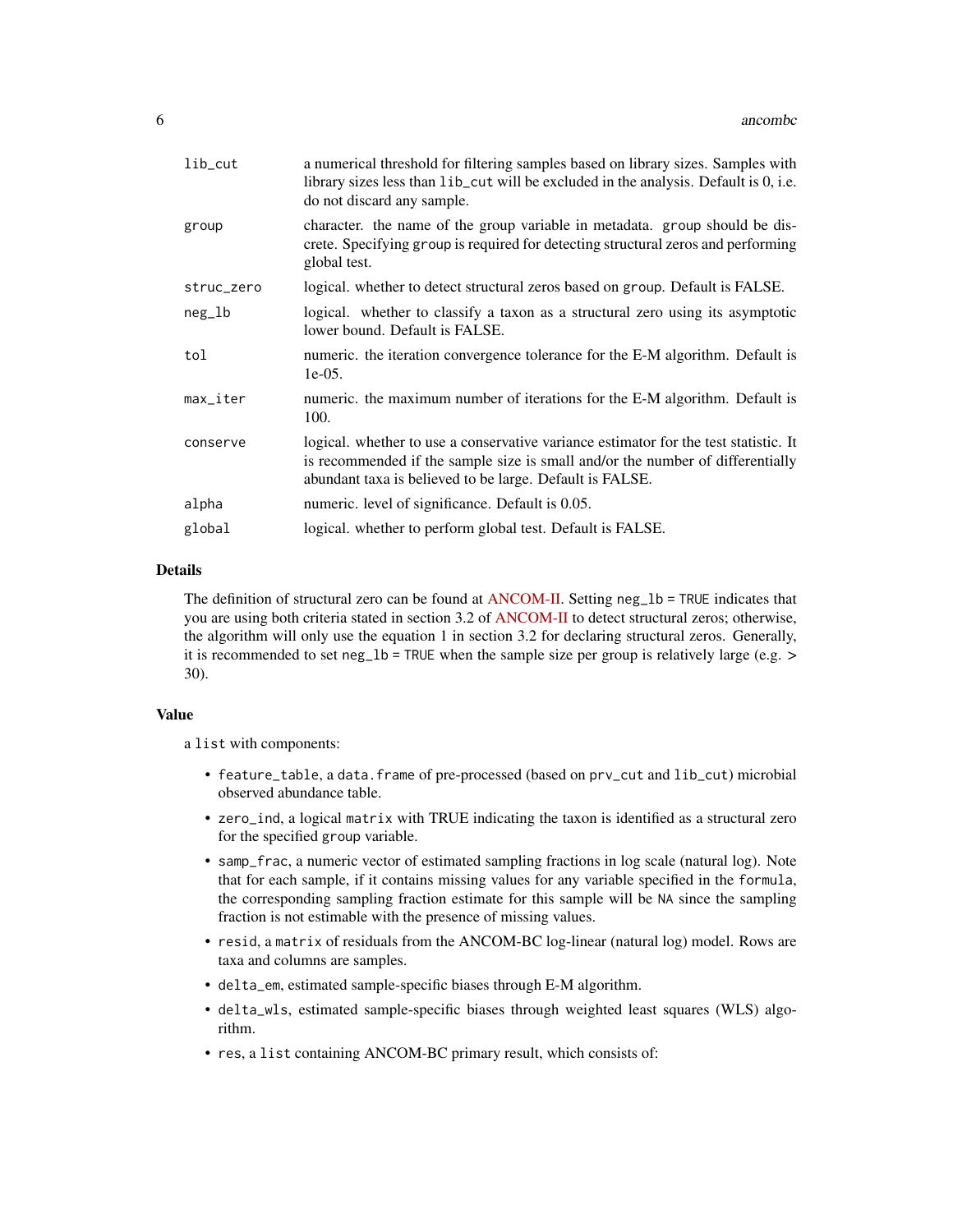| lib_cut    | a numerical threshold for filtering samples based on library sizes. Samples with<br>library sizes less than lib_cut will be excluded in the analysis. Default is 0, i.e.<br>do not discard any sample.                             |
|------------|------------------------------------------------------------------------------------------------------------------------------------------------------------------------------------------------------------------------------------|
| group      | character, the name of the group variable in metadata, group should be dis-<br>crete. Specifying group is required for detecting structural zeros and performing<br>global test.                                                   |
| struc_zero | logical. whether to detect structural zeros based on group. Default is FALSE.                                                                                                                                                      |
| $neg\_lb$  | logical. whether to classify a taxon as a structural zero using its asymptotic<br>lower bound. Default is FALSE.                                                                                                                   |
| tol        | numeric, the iteration convergence tolerance for the E-M algorithm. Default is<br>$1e-05.$                                                                                                                                         |
| max_iter   | numeric. the maximum number of iterations for the E-M algorithm. Default is<br>100.                                                                                                                                                |
| conserve   | logical, whether to use a conservative variance estimator for the test statistic. It<br>is recommended if the sample size is small and/or the number of differentially<br>abundant taxa is believed to be large. Default is FALSE. |
| alpha      | numeric. level of significance. Default is 0.05.                                                                                                                                                                                   |
| global     | logical. whether to perform global test. Default is FALSE.                                                                                                                                                                         |

#### Details

The definition of structural zero can be found at [ANCOM-II.](https://doi.org/10.3389/fmicb.2017.02114) Setting neg\_lb = TRUE indicates that you are using both criteria stated in section 3.2 of [ANCOM-II](https://doi.org/10.3389/fmicb.2017.02114) to detect structural zeros; otherwise, the algorithm will only use the equation 1 in section 3.2 for declaring structural zeros. Generally, it is recommended to set neg\_lb = TRUE when the sample size per group is relatively large (e.g. > 30).

#### Value

a list with components:

- feature\_table, a data.frame of pre-processed (based on prv\_cut and lib\_cut) microbial observed abundance table.
- zero\_ind, a logical matrix with TRUE indicating the taxon is identified as a structural zero for the specified group variable.
- samp\_frac, a numeric vector of estimated sampling fractions in log scale (natural log). Note that for each sample, if it contains missing values for any variable specified in the formula, the corresponding sampling fraction estimate for this sample will be NA since the sampling fraction is not estimable with the presence of missing values.
- resid, a matrix of residuals from the ANCOM-BC log-linear (natural log) model. Rows are taxa and columns are samples.
- delta\_em, estimated sample-specific biases through E-M algorithm.
- delta\_wls, estimated sample-specific biases through weighted least squares (WLS) algorithm.
- res, a list containing ANCOM-BC primary result, which consists of: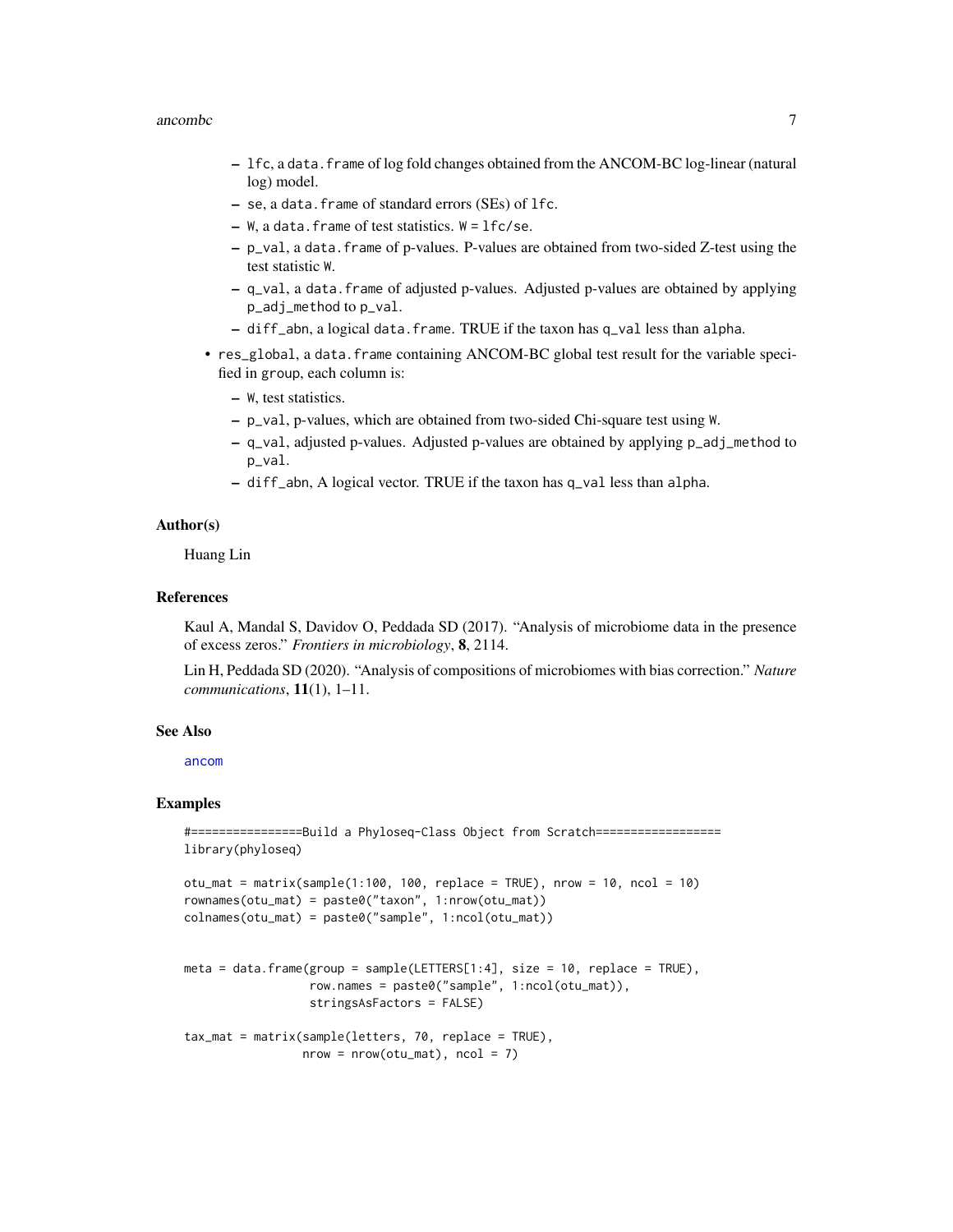#### <span id="page-6-0"></span>ancombc 7

- lfc, a data.frame of log fold changes obtained from the ANCOM-BC log-linear (natural log) model.
- se, a data.frame of standard errors (SEs) of lfc.
- $-$  W, a data. frame of test statistics. W = lfc/se.
- p\_val, a data.frame of p-values. P-values are obtained from two-sided Z-test using the test statistic W.
- q\_val, a data.frame of adjusted p-values. Adjusted p-values are obtained by applying p\_adj\_method to p\_val.
- $-$  diff\_abn, a logical data. frame. TRUE if the taxon has  $q$ \_val less than alpha.
- res\_global, a data.frame containing ANCOM-BC global test result for the variable specified in group, each column is:
	- W, test statistics.
	- p\_val, p-values, which are obtained from two-sided Chi-square test using W.
	- q\_val, adjusted p-values. Adjusted p-values are obtained by applying p\_adj\_method to p\_val.
	- diff\_abn, A logical vector. TRUE if the taxon has q\_val less than alpha.

#### Author(s)

Huang Lin

#### References

Kaul A, Mandal S, Davidov O, Peddada SD (2017). "Analysis of microbiome data in the presence of excess zeros." *Frontiers in microbiology*, 8, 2114.

Lin H, Peddada SD (2020). "Analysis of compositions of microbiomes with bias correction." *Nature communications*, 11(1), 1–11.

#### See Also

[ancom](#page-1-1)

#### Examples

```
#================Build a Phyloseq-Class Object from Scratch==================
library(phyloseq)
```

```
otu_mat = matrix(sample(1:100, 100, replace = TRUE), nrow = 10, ncol = 10)
rownames(otu_mat) = paste0("taxon", 1:nrow(otu_mat))
colnames(otu_mat) = paste0("sample", 1:ncol(otu_mat))
```

```
meta = data.frame(group = sample(LETTERS[1:4], size = 10, replace = TRUE),
                  row.names = paste0("sample", 1:ncol(otu_mat)),
                  stringsAsFactors = FALSE)
```

```
tax_mat = matrix(sample(letters, 70, replace = TRUE),
                 nrow = nrow(otu_matrix), ncol = 7)
```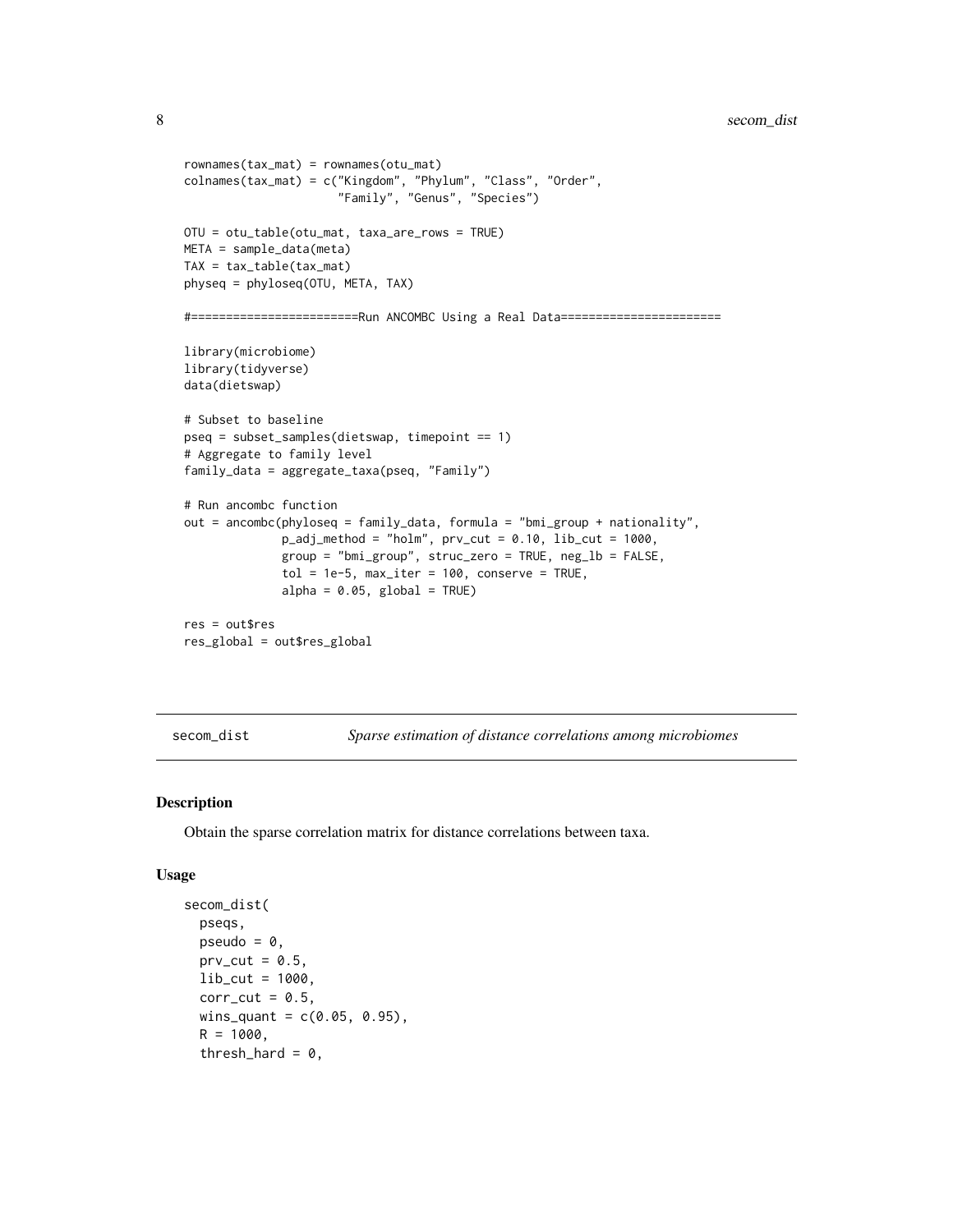```
rownames(tax_mat) = rownames(otu_mat)
colnames(tax_mat) = c("Kingdom", "Phylum", "Class", "Order",
                      "Family", "Genus", "Species")
OTU = otu_table(otu_mat, taxa_are_rows = TRUE)
META = sample_data(meta)
TAX = tax_table(tax_mat)
physeq = phyloseq(OTU, META, TAX)
#========================Run ANCOMBC Using a Real Data=======================
library(microbiome)
library(tidyverse)
data(dietswap)
# Subset to baseline
pseq = subset_samples(dietswap, timepoint == 1)
# Aggregate to family level
family_data = aggregate_taxa(pseq, "Family")
# Run ancombc function
out = ancombc(phyloseq = family_data, formula = "bmi_group + nationality",
              p\_adj\_method = "holm", prv\_cut = 0.10, lib\_cut = 1000,group = "bmi_group", struc_zero = TRUE, neg_lb = FALSE,
              tol = 1e-5, max\_iter = 100, conserve = TRUE,
              alpha = 0.05, global = TRUE)
res = out$res
res_global = out$res_global
```
<span id="page-7-1"></span>secom\_dist *Sparse estimation of distance correlations among microbiomes*

#### Description

Obtain the sparse correlation matrix for distance correlations between taxa.

#### Usage

```
secom_dist(
 pseqs,
 pseudo = \theta,
 prv_cut = 0.5,
 lib-cut = 1000,corr-cut = 0.5,
 wins_quant = c(0.05, 0.95),
 R = 1000,
  thresh_hard = 0,
```
<span id="page-7-0"></span>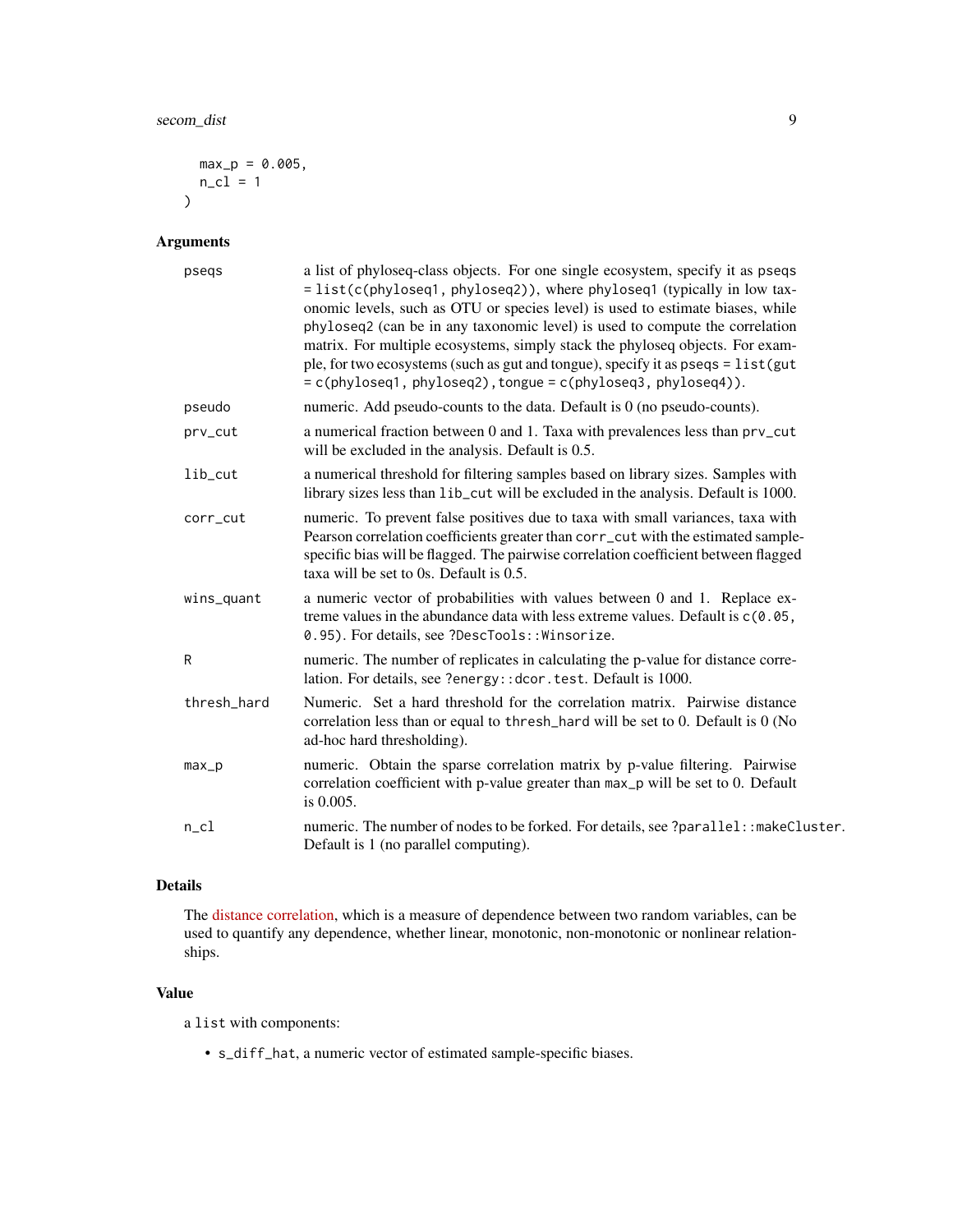```
max_p = 0.005,
  n_c1 = 1\mathcal{L}
```
#### Arguments

| pseqs       | a list of phyloseq-class objects. For one single ecosystem, specify it as pseqs<br>= list(c(phyloseq1, phyloseq2)), where phyloseq1 (typically in low tax-<br>onomic levels, such as OTU or species level) is used to estimate biases, while<br>phyloseq2 (can be in any taxonomic level) is used to compute the correlation<br>matrix. For multiple ecosystems, simply stack the phyloseq objects. For exam-<br>ple, for two ecosystems (such as gut and tongue), specify it as pseqs = list(gut<br>$= c(\text{phyloseq1}, \text{phyloseq2}), \text{tongue} = c(\text{phyloseq3}, \text{phyloseq4})).$ |
|-------------|---------------------------------------------------------------------------------------------------------------------------------------------------------------------------------------------------------------------------------------------------------------------------------------------------------------------------------------------------------------------------------------------------------------------------------------------------------------------------------------------------------------------------------------------------------------------------------------------------------|
| pseudo      | numeric. Add pseudo-counts to the data. Default is 0 (no pseudo-counts).                                                                                                                                                                                                                                                                                                                                                                                                                                                                                                                                |
| prv_cut     | a numerical fraction between 0 and 1. Taxa with prevalences less than prv_cut<br>will be excluded in the analysis. Default is 0.5.                                                                                                                                                                                                                                                                                                                                                                                                                                                                      |
| lib_cut     | a numerical threshold for filtering samples based on library sizes. Samples with<br>library sizes less than lib_cut will be excluded in the analysis. Default is 1000.                                                                                                                                                                                                                                                                                                                                                                                                                                  |
| corr_cut    | numeric. To prevent false positives due to taxa with small variances, taxa with<br>Pearson correlation coefficients greater than corr_cut with the estimated sample-<br>specific bias will be flagged. The pairwise correlation coefficient between flagged<br>taxa will be set to 0s. Default is 0.5.                                                                                                                                                                                                                                                                                                  |
| wins_quant  | a numeric vector of probabilities with values between 0 and 1. Replace ex-<br>treme values in the abundance data with less extreme values. Default is $c(0.05, 0.05)$<br>0.95). For details, see ?DescTools:: Winsorize.                                                                                                                                                                                                                                                                                                                                                                                |
| R           | numeric. The number of replicates in calculating the p-value for distance corre-<br>lation. For details, see ?energy:: dcor. test. Default is 1000.                                                                                                                                                                                                                                                                                                                                                                                                                                                     |
| thresh_hard | Numeric. Set a hard threshold for the correlation matrix. Pairwise distance<br>correlation less than or equal to thresh_hard will be set to 0. Default is 0 (No<br>ad-hoc hard thresholding).                                                                                                                                                                                                                                                                                                                                                                                                           |
| $max_p$     | numeric. Obtain the sparse correlation matrix by p-value filtering. Pairwise<br>correlation coefficient with p-value greater than max_p will be set to 0. Default<br>is 0.005.                                                                                                                                                                                                                                                                                                                                                                                                                          |
| $n$ _cl     | numeric. The number of nodes to be forked. For details, see ?parallel: : makeCluster.<br>Default is 1 (no parallel computing).                                                                                                                                                                                                                                                                                                                                                                                                                                                                          |

#### Details

The [distance correlation,](https://projecteuclid.org/journals/annals-of-statistics/volume-35/issue-6/Measuring-and-testing-dependence-by-correlation-of-distances/10.1214/009053607000000505.full) which is a measure of dependence between two random variables, can be used to quantify any dependence, whether linear, monotonic, non-monotonic or nonlinear relationships.

#### Value

a list with components:

• s\_diff\_hat, a numeric vector of estimated sample-specific biases.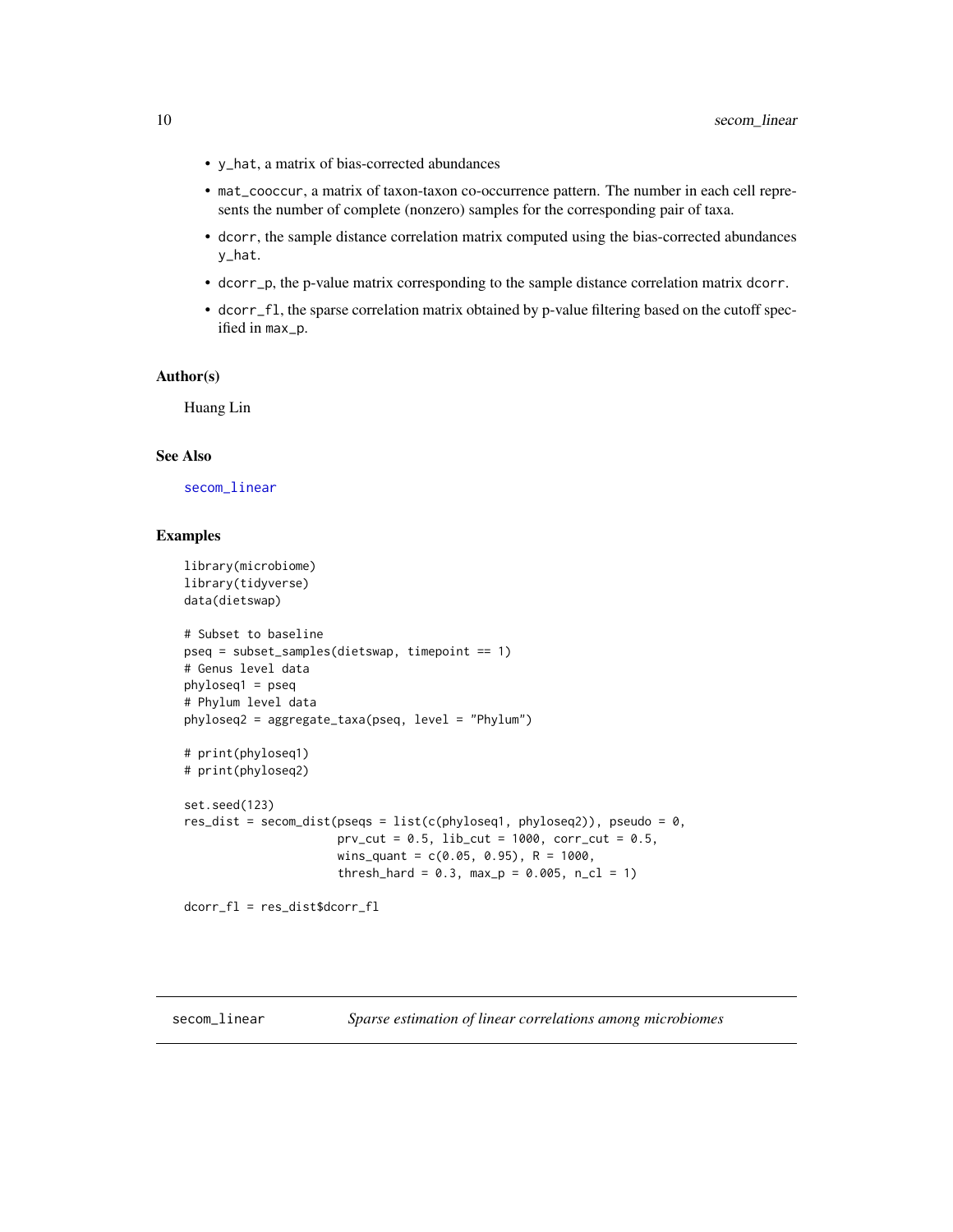- <span id="page-9-0"></span>• y\_hat, a matrix of bias-corrected abundances
- mat\_cooccur, a matrix of taxon-taxon co-occurrence pattern. The number in each cell represents the number of complete (nonzero) samples for the corresponding pair of taxa.
- dcorr, the sample distance correlation matrix computed using the bias-corrected abundances y\_hat.
- dcorr\_p, the p-value matrix corresponding to the sample distance correlation matrix dcorr.
- dcorr\_fl, the sparse correlation matrix obtained by p-value filtering based on the cutoff specified in max\_p.

#### Author(s)

Huang Lin

#### See Also

[secom\\_linear](#page-9-1)

#### Examples

```
library(microbiome)
library(tidyverse)
data(dietswap)
# Subset to baseline
pseq = subset_samples(dietswap, timepoint == 1)
# Genus level data
phyloseq1 = pseq
# Phylum level data
phyloseq2 = aggregate_taxa(pseq, level = "Phylum")
# print(phyloseq1)
# print(phyloseq2)
set.seed(123)
res_dist = secom_dist(pseqs = list(c(phyloseq1, phyloseq2)), pseudo = 0,
                      prv_cut = 0.5, lib_cut = 1000, corr_cut = 0.5,
                      wins_quant = c(0.05, 0.95), R = 1000,
                      thresh_hard = 0.3, max_p = 0.005, n_cl = 1)
```
dcorr\_fl = res\_dist\$dcorr\_fl

<span id="page-9-1"></span>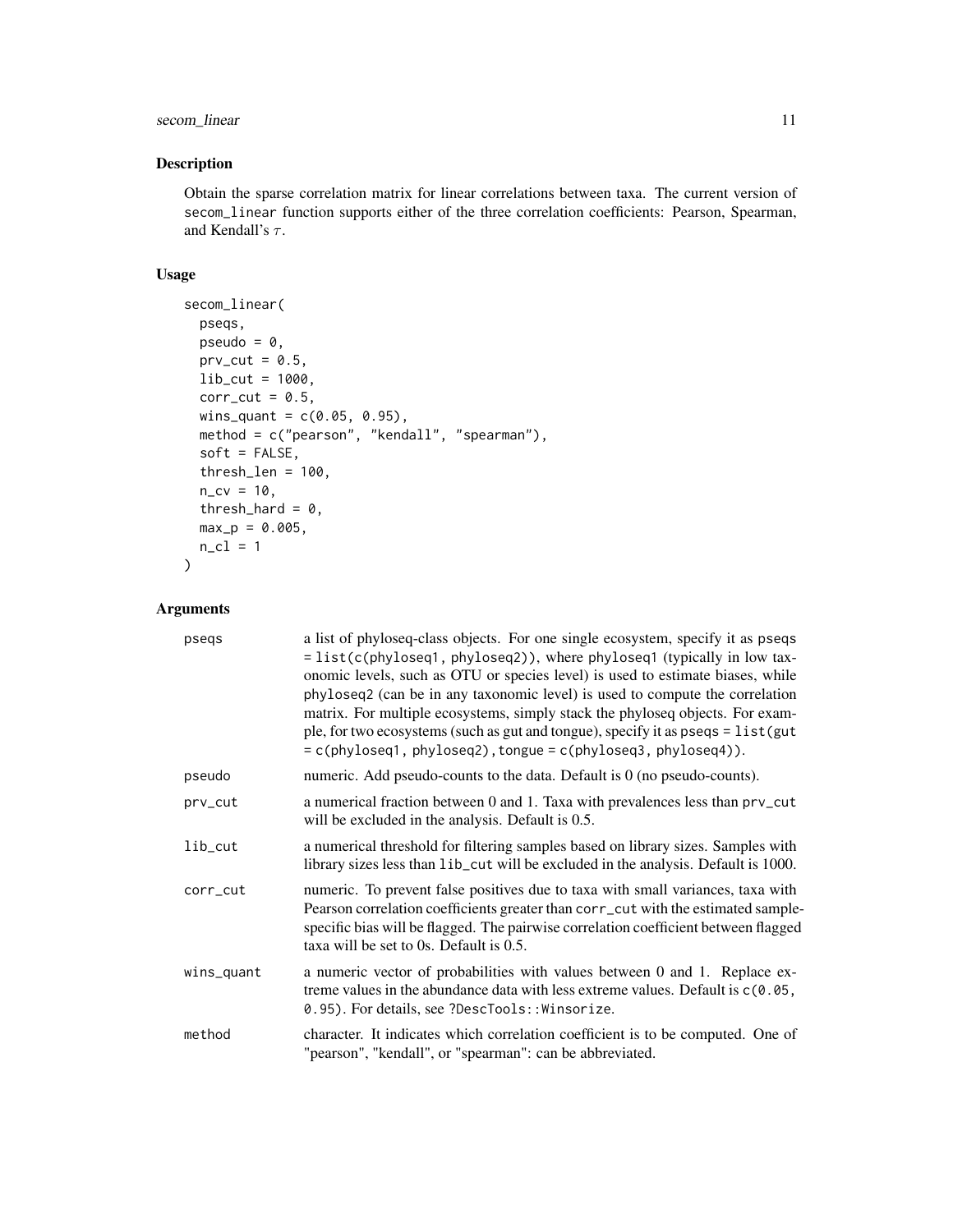#### secom\_linear 11

#### Description

Obtain the sparse correlation matrix for linear correlations between taxa. The current version of secom\_linear function supports either of the three correlation coefficients: Pearson, Spearman, and Kendall's  $\tau$ .

#### Usage

```
secom_linear(
 pseqs,
 pseudo = 0,
 prv_cut = 0.5,
 lib_cut = 1000,
 corr-cut = 0.5,
 wins_quant = c(0.05, 0.95),
  method = c("pearson", "kendall", "spearman"),
  soft = FALSE,
  thresh\_len = 100,n_{CV} = 10,
  thresh_hard = 0,
 max_p = 0.005,
 n_cl = 1)
```
#### Arguments

| psegs      | a list of phyloseq-class objects. For one single ecosystem, specify it as pseqs<br>= list(c(phyloseq1, phyloseq2)), where phyloseq1 (typically in low tax-<br>onomic levels, such as OTU or species level) is used to estimate biases, while<br>phyloseq2 (can be in any taxonomic level) is used to compute the correlation<br>matrix. For multiple ecosystems, simply stack the phyloseq objects. For exam-<br>ple, for two ecosystems (such as gut and tongue), specify it as pseqs = list(gut<br>$= c(\text{phyloseq1}, \text{phyloseq2}), \text{tongue} = c(\text{phyloseq3}, \text{phyloseq4})).$ |
|------------|---------------------------------------------------------------------------------------------------------------------------------------------------------------------------------------------------------------------------------------------------------------------------------------------------------------------------------------------------------------------------------------------------------------------------------------------------------------------------------------------------------------------------------------------------------------------------------------------------------|
| pseudo     | numeric. Add pseudo-counts to the data. Default is 0 (no pseudo-counts).                                                                                                                                                                                                                                                                                                                                                                                                                                                                                                                                |
| prv_cut    | a numerical fraction between 0 and 1. Taxa with prevalences less than prv_cut<br>will be excluded in the analysis. Default is 0.5.                                                                                                                                                                                                                                                                                                                                                                                                                                                                      |
| $lib-cut$  | a numerical threshold for filtering samples based on library sizes. Samples with<br>library sizes less than lib_cut will be excluded in the analysis. Default is 1000.                                                                                                                                                                                                                                                                                                                                                                                                                                  |
| corr_cut   | numeric. To prevent false positives due to taxa with small variances, taxa with<br>Pearson correlation coefficients greater than corr_cut with the estimated sample-<br>specific bias will be flagged. The pairwise correlation coefficient between flagged<br>taxa will be set to 0s. Default is 0.5.                                                                                                                                                                                                                                                                                                  |
| wins_quant | a numeric vector of probabilities with values between 0 and 1. Replace ex-<br>treme values in the abundance data with less extreme values. Default is $c(0.05, 0.05)$<br>0.95). For details, see ?DescTools:: Winsorize.                                                                                                                                                                                                                                                                                                                                                                                |
| method     | character. It indicates which correlation coefficient is to be computed. One of<br>"pearson", "kendall", or "spearman": can be abbreviated.                                                                                                                                                                                                                                                                                                                                                                                                                                                             |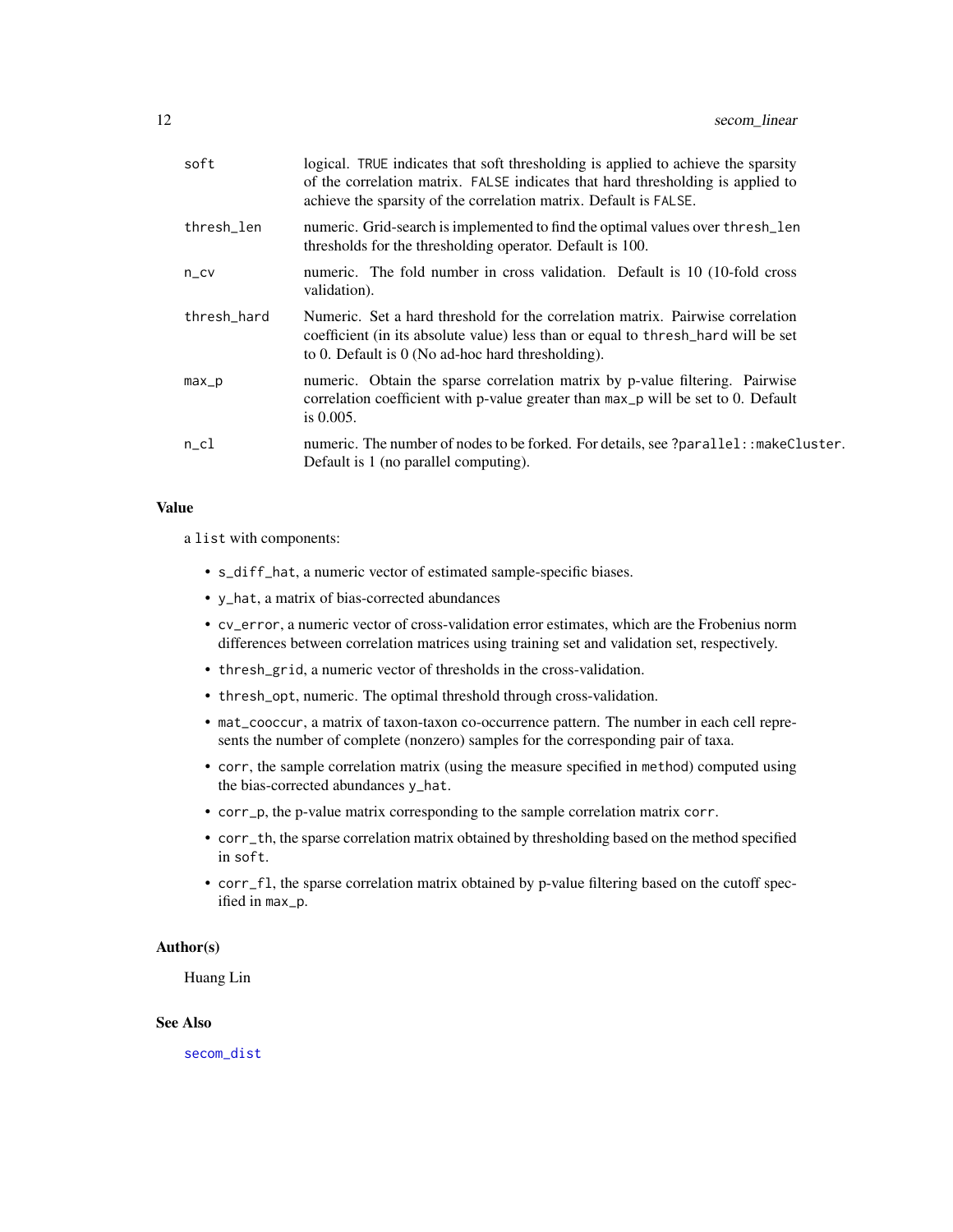<span id="page-11-0"></span>

| soft        | logical. TRUE indicates that soft thresholding is applied to achieve the sparsity<br>of the correlation matrix. FALSE indicates that hard thresholding is applied to<br>achieve the sparsity of the correlation matrix. Default is FALSE. |
|-------------|-------------------------------------------------------------------------------------------------------------------------------------------------------------------------------------------------------------------------------------------|
| thresh_len  | numeric. Grid-search is implemented to find the optimal values over thresh_len<br>thresholds for the thresholding operator. Default is 100.                                                                                               |
| $n_{C}$     | numeric. The fold number in cross validation. Default is 10 (10-fold cross)<br>validation).                                                                                                                                               |
| thresh hard | Numeric. Set a hard threshold for the correlation matrix. Pairwise correlation<br>coefficient (in its absolute value) less than or equal to thresh hard will be set<br>to 0. Default is $\theta$ (No ad-hoc hard thresholding).           |
| $max_p$     | numeric. Obtain the sparse correlation matrix by p-value filtering. Pairwise<br>correlation coefficient with p-value greater than max_p will be set to 0. Default<br>is $0.005$ .                                                         |
| $n$ _cl     | numeric. The number of nodes to be forked. For details, see ?parallel: : makeCluster.<br>Default is 1 (no parallel computing).                                                                                                            |

#### Value

a list with components:

- s\_diff\_hat, a numeric vector of estimated sample-specific biases.
- y\_hat, a matrix of bias-corrected abundances
- cv\_error, a numeric vector of cross-validation error estimates, which are the Frobenius norm differences between correlation matrices using training set and validation set, respectively.
- thresh\_grid, a numeric vector of thresholds in the cross-validation.
- thresh\_opt, numeric. The optimal threshold through cross-validation.
- mat\_cooccur, a matrix of taxon-taxon co-occurrence pattern. The number in each cell represents the number of complete (nonzero) samples for the corresponding pair of taxa.
- corr, the sample correlation matrix (using the measure specified in method) computed using the bias-corrected abundances y\_hat.
- corr\_p, the p-value matrix corresponding to the sample correlation matrix corr.
- corr\_th, the sparse correlation matrix obtained by thresholding based on the method specified in soft.
- corr\_fl, the sparse correlation matrix obtained by p-value filtering based on the cutoff specified in max\_p.

#### Author(s)

Huang Lin

#### See Also

[secom\\_dist](#page-7-1)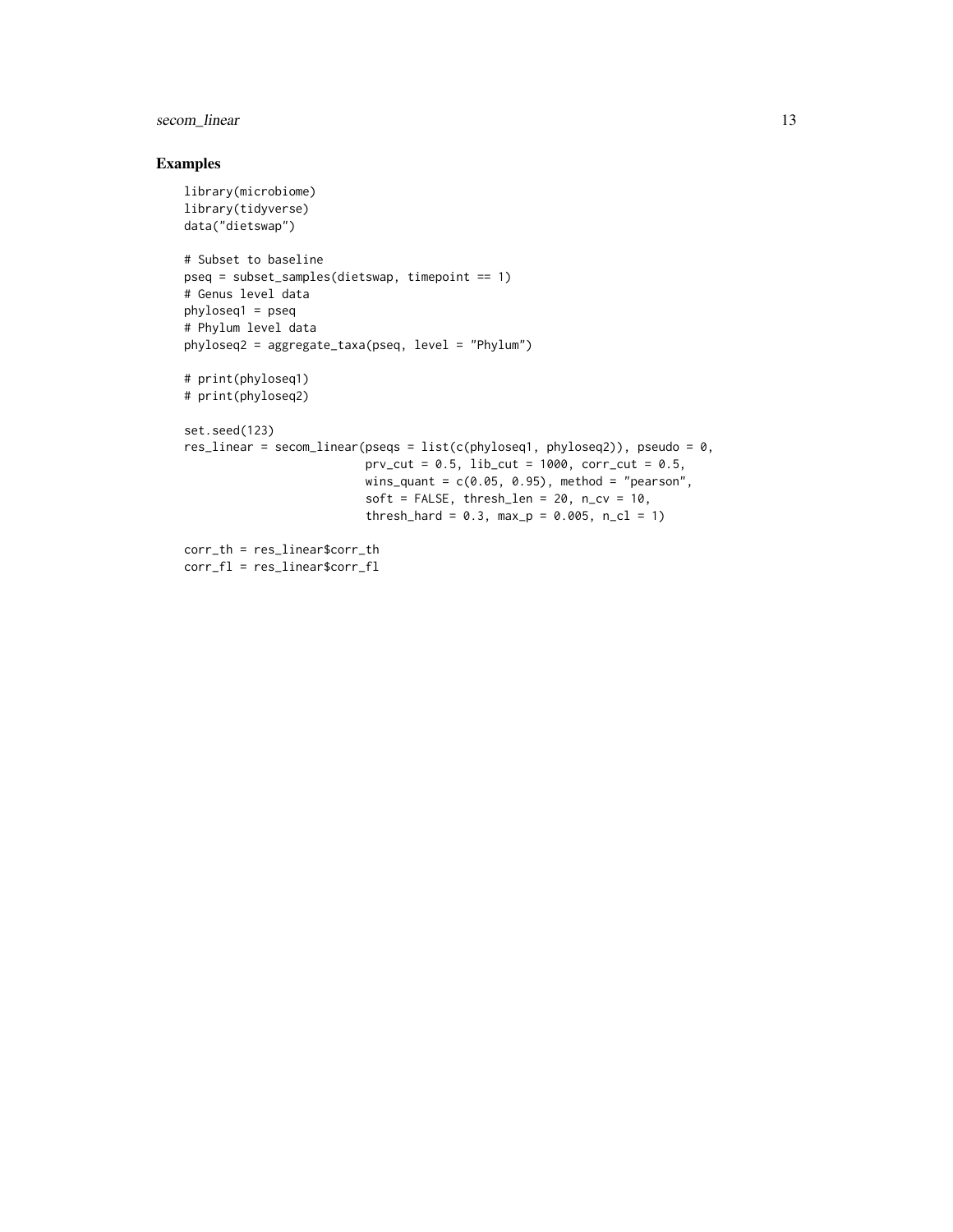#### secom\_linear 13

#### Examples

```
library(microbiome)
library(tidyverse)
data("dietswap")
# Subset to baseline
pseq = subset_samples(dietswap, timepoint == 1)
# Genus level data
phyloseq1 = pseq
# Phylum level data
phyloseq2 = aggregate_taxa(pseq, level = "Phylum")
# print(phyloseq1)
# print(phyloseq2)
set.seed(123)
res\_linear = secom\_linear(pseqs = list(c(phyloseq1, phyloseq2)), pseudo = 0,prv_cut = 0.5, lib_cut = 1000, corr_cut = 0.5,
                          wins_quant = c(0.05, 0.95), method = "pearson",
                          soft = FALSE, thresh\_len = 20, n_cv = 10,thresh_hard = 0.3, max_p = 0.005, n_cl = 1)
corr_th = res_linear$corr_th
corr_fl = res_linear$corr_fl
```